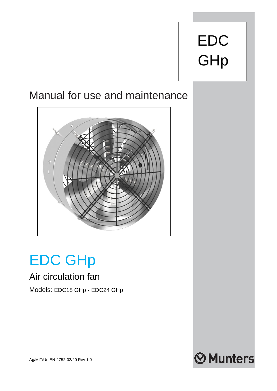# EDC **GHp**

# Manual for use and maintenance



# EDC GHp

# Air circulation fan

# Models: EDC18 GHp - EDC24 GHp



Ag/MIT/UmEN-2752-02/20 Rev 1.0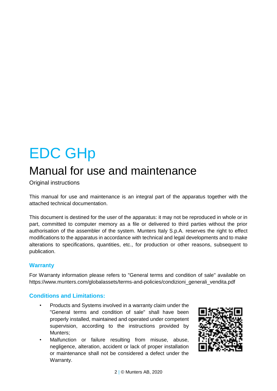# EDC GHp

# Manual for use and maintenance

Original instructions

This manual for use and maintenance is an integral part of the apparatus together with the attached technical documentation.

This document is destined for the user of the apparatus: it may not be reproduced in whole or in part, committed to computer memory as a file or delivered to third parties without the prior authorisation of the assembler of the system. Munters Italy S.p.A. reserves the right to effect modifications to the apparatus in accordance with technical and legal developments and to make alterations to specifications, quantities, etc., for production or other reasons, subsequent to publication.

#### **Warranty**

For Warranty information please refers to "General terms and condition of sale" available on [https://www.munters.com/globalassets/terms-and-policies/condizioni\\_generali\\_vendita.pdf](https://www.munters.com/globalassets/terms-and-policies/condizioni_generali_vendita.pdf)

### **Conditions and Limitations:**

- Products and Systems involved in a warranty claim under the "General terms and condition of sale" shall have been properly installed, maintained and operated under competent supervision, according to the instructions provided by Munters;
- Malfunction or failure resulting from misuse, abuse, negligence, alteration, accident or lack of proper installation or maintenance shall not be considered a defect under the Warranty.

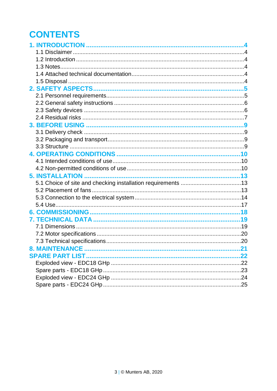# **CONTENTS**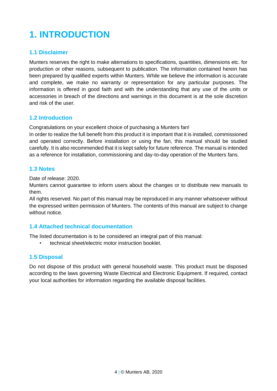# <span id="page-3-0"></span>**1. INTRODUCTION**

### <span id="page-3-1"></span>**1.1 Disclaimer**

Munters reserves the right to make alternations to specifications, quantities, dimensions etc. for production or other reasons, subsequent to publication. The information contained herein has been prepared by qualified experts within Munters. While we believe the information is accurate and complete, we make no warranty or representation for any particular purposes. The information is offered in good faith and with the understanding that any use of the units or accessories in breach of the directions and warnings in this document is at the sole discretion and risk of the user.

#### <span id="page-3-2"></span>**1.2 Introduction**

Congratulations on your excellent choice of purchasing a Munters fan!

In order to realize the full benefit from this product it is important that it is installed, commissioned and operated correctly. Before installation or using the fan, this manual should be studied carefully. It is also recommended that it is kept safely for future reference. The manual is intended as a reference for installation, commissioning and day-to-day operation of the Munters fans.

#### <span id="page-3-3"></span>**1.3 Notes**

Date of release: 2020.

Munters cannot guarantee to inform users about the changes or to distribute new manuals to them.

All rights reserved. No part of this manual may be reproduced in any manner whatsoever without the expressed written permission of Munters. The contents of this manual are subject to change without notice.

#### <span id="page-3-4"></span>**1.4 Attached technical documentation**

The listed documentation is to be considered an integral part of this manual:

• technical sheet/electric motor instruction booklet.

#### <span id="page-3-5"></span>**1.5 Disposal**

Do not dispose of this product with general household waste. This product must be disposed according to the laws governing Waste Electrical and Electronic Equipment. If required, contact your local authorities for information regarding the available disposal facilities.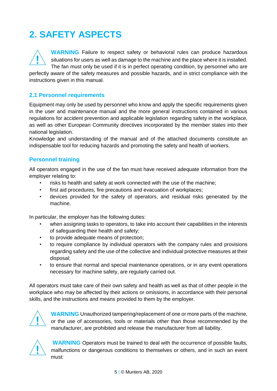# <span id="page-4-0"></span>**2. SAFETY ASPECTS**

**WARNING** Failure to respect safety or behavioral rules can produce hazardous situations for users as well as damage to the machine and the place where it is installed. The fan must only be used if it is in perfect operating condition, by personnel who are

perfectly aware of the safety measures and possible hazards, and in strict compliance with the instructions given in this manual.

### <span id="page-4-1"></span>**2.1 Personnel requirements**

Equipment may only be used by personnel who know and apply the specific requirements given in the user and maintenance manual and the more general instructions contained in various regulations for accident prevention and applicable legislation regarding safety in the workplace, as well as other European Community directives incorporated by the member states into their national legislation.

Knowledge and understanding of the manual and of the attached documents constitute an indispensable tool for reducing hazards and promoting the safety and health of workers.

### **Personnel training**

All operators engaged in the use of the fan must have received adequate information from the employer relating to:

- risks to health and safety at work connected with the use of the machine;
- first aid procedures, fire precautions and evacuation of workplaces;
- devices provided for the safety of operators, and residual risks generated by the machine.

In particular, the employer has the following duties:

- when assigning tasks to operators, to take into account their capabilities in the interests of safeguarding their health and safety;
- to provide adequate means of protection;
- to require compliance by individual operators with the company rules and provisions regarding safety and the use of the collective and individual protective measures at their disposal;
- to ensure that normal and special maintenance operations, or in any event operations necessary for machine safety, are regularly carried out.

All operators must take care of their own safety and health as well as that of other people in the workplace who may be affected by their actions or omissions, in accordance with their personal skills, and the instructions and means provided to them by the employer.



**WARNING** Unauthorized tampering/replacement of one or more parts of the machine, or the use of accessories, tools or materials other than those recommended by the manufacturer, are prohibited and release the manufacturer from all liability.



**WARNING** Operators must be trained to deal with the occurrence of possible faults, malfunctions or dangerous conditions to themselves or others, and in such an event must: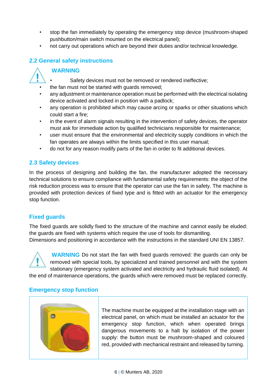- stop the fan immediately by operating the emergency stop device (mushroom-shaped pushbutton/main switch mounted on the electrical panel);
- not carry out operations which are beyond their duties and/or technical knowledge.

# <span id="page-5-0"></span>**2.2 General safety instructions**

### **WARNING**

- Safety devices must not be removed or rendered ineffective;
- the fan must not be started with quards removed:
- any adjustment or maintenance operation must be performed with the electrical isolating device activated and locked in position with a padlock;
- any operation is prohibited which may cause arcing or sparks or other situations which could start a fire;
- in the event of alarm signals resulting in the intervention of safety devices, the operator must ask for immediate action by qualified technicians responsible for maintenance;
- user must ensure that the environmental and electricity supply conditions in which the fan operates are always within the limits specified in this user manual;
- do not for any reason modify parts of the fan in order to fit additional devices.

### <span id="page-5-1"></span>**2.3 Safety devices**

In the process of designing and building the fan, the manufacturer adopted the necessary technical solutions to ensure compliance with fundamental safety requirements: the object of the risk reduction process was to ensure that the operator can use the fan in safety. The machine is provided with protection devices of fixed type and is fitted with an actuator for the emergency stop function.

### **Fixed guards**

The fixed guards are solidly fixed to the structure of the machine and cannot easily be eluded: the guards are fixed with systems which require the use of tools for dismantling. Dimensions and positioning in accordance with the instructions in the standard UNI EN 13857.



**WARNING** Do not start the fan with fixed guards removed: the guards can only be removed with special tools, by specialized and trained personnel and with the system stationary (emergency system activated and electricity and hydraulic fluid isolated). At

the end of maintenance operations, the guards which were removed must be replaced correctly.

#### **Emergency stop function**



The machine must be equipped at the installation stage with an electrical panel, on which must be installed an actuator for the emergency stop function, which when operated brings dangerous movements to a halt by isolation of the power supply: the button must be mushroom-shaped and coloured red, provided with mechanical restraint and released by turning.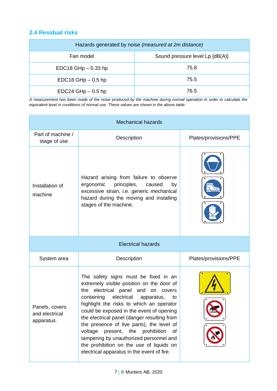### <span id="page-6-0"></span>**2.4 Residual risks**

| Hazards generated by noise (measured at 2m distance) |                                 |  |  |  |
|------------------------------------------------------|---------------------------------|--|--|--|
| Fan model                                            | Sound pressure level Lp [dB(A)] |  |  |  |
| EDC18 GHp $-$ 0.33 hp                                | 75.8                            |  |  |  |
| $EDC18$ GHp $-0.5$ hp                                | 75.5                            |  |  |  |
| $EDC24$ GHp $-$ 0.5 hp                               | 76.5                            |  |  |  |

*A measurement has been made of the noise produced by the machine during normal operation in order to calculate the equivalent level in conditions of normal use. These values are shown in the above table.*

| Mechanical hazards                             |                                                                                                                                                                                                                                                                                                                                                                                                                                                                                                                                                        |                       |  |
|------------------------------------------------|--------------------------------------------------------------------------------------------------------------------------------------------------------------------------------------------------------------------------------------------------------------------------------------------------------------------------------------------------------------------------------------------------------------------------------------------------------------------------------------------------------------------------------------------------------|-----------------------|--|
| Part of machine /<br>stage of use              | Description                                                                                                                                                                                                                                                                                                                                                                                                                                                                                                                                            | Plates/provisions/PPE |  |
| Installation of<br>machine                     | Hazard arising from failure to observe<br>ergonomic<br>principles,<br>caused<br>by<br>excessive strain, i.e. generic mechanical<br>hazard during the moving and installing<br>stages of the machine.                                                                                                                                                                                                                                                                                                                                                   |                       |  |
|                                                | <b>Electrical hazards</b>                                                                                                                                                                                                                                                                                                                                                                                                                                                                                                                              |                       |  |
| System area                                    | Description                                                                                                                                                                                                                                                                                                                                                                                                                                                                                                                                            | Plates/provisions/PPE |  |
| Panels, covers<br>and electrical<br>apparatus. | The safety signs must be fixed in an<br>extremely visible position on the door of<br>electrical panel and on covers<br>the<br>containing<br>electrical<br>apparatus,<br>to<br>highlight the risks to which an operator<br>could be exposed in the event of opening<br>the electrical panel (danger resulting from<br>the presence of live parts), the level of<br>voltage<br>the<br>prohibition<br>present,<br>οf<br>tampering by unauthorized personnel and<br>the prohibition on the use of liquids on<br>electrical apparatus in the event of fire. |                       |  |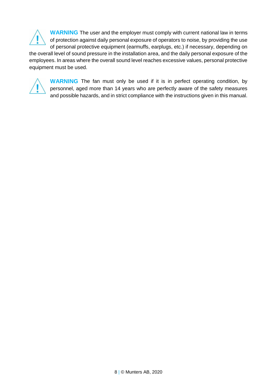**WARNING** The user and the employer must comply with current national law in terms of protection against daily personal exposure of operators to noise, by providing the use of personal protective equipment (earmuffs, earplugs, etc.) if necessary, depending on the overall level of sound pressure in the installation area, and the daily personal exposure of the employees. In areas where the overall sound level reaches excessive values, personal protective equipment must be used.



**WARNING** The fan must only be used if it is in perfect operating condition, by personnel, aged more than 14 years who are perfectly aware of the safety measures and possible hazards, and in strict compliance with the instructions given in this manual.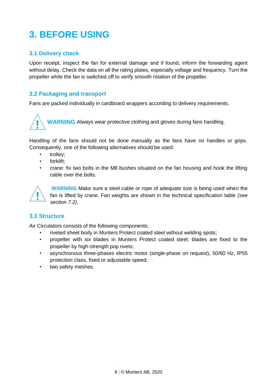# <span id="page-8-0"></span>**3. BEFORE USING**

### <span id="page-8-1"></span>**3.1 Delivery check**

Upon receipt, inspect the fan for external damage and if found, inform the forwarding agent without delay. Check the data on all the rating plates, especially voltage and frequency. Turn the propeller while the fan is switched off to verify smooth rotation of the propeller.

### <span id="page-8-2"></span>**3.2 Packaging and transport**

Fans are packed individually in cardboard wrappers according to delivery requirements.

**WARNING** Always wear protective clothing and gloves during fans handling.

Handling of the fans should not be done manually as the fans have no handles or grips. Consequently, one of the following alternatives should be used:

- trolley:
- forklift:
- crane: fix two bolts in the M8 bushes situated on the fan housing and hook the lifting cable over the bolts.



**WARNING** Make sure a steel cable or rope of adequate size is being used when the fan is lifted by crane. Fan weights are shown in the technical specification table *(see section 7.2)*.

### <span id="page-8-3"></span>**3.3 Structure**

Air Circulators consists of the following components:

- riveted sheet body in Munters Protect coated steel without welding spots;
- propeller with six blades in Munters Protect coated steel; blades are fixed to the propeller by high-strength pop rivets;
- asynchronous three-phases electric motor (single-phase on request), 50/60 Hz, IP55 protection class, fixed or adjustable speed;
- two safety meshes.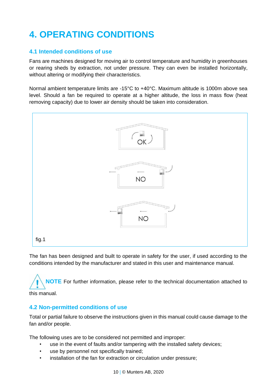# <span id="page-9-0"></span>**4. OPERATING CONDITIONS**

### <span id="page-9-1"></span>**4.1 Intended conditions of use**

Fans are machines designed for moving air to control temperature and humidity in greenhouses or rearing sheds by extraction, not under pressure. They can even be installed horizontally, without altering or modifying their characteristics.

Normal ambient temperature limits are -15°C to +40°C. Maximum altitude is 1000m above sea level. Should a fan be required to operate at a higher altitude, the loss in mass flow (heat removing capacity) due to lower air density should be taken into consideration.



The fan has been designed and built to operate in safety for the user, if used according to the conditions intended by the manufacturer and stated in this user and maintenance manual.

**NOTE** For further information, please refer to the technical documentation attached to

this manual.

### <span id="page-9-2"></span>**4.2 Non-permitted conditions of use**

Total or partial failure to observe the instructions given in this manual could cause damage to the fan and/or people.

The following uses are to be considered not permitted and improper:

- use in the event of faults and/or tampering with the installed safety devices;
- use by personnel not specifically trained;
- installation of the fan for extraction or circulation under pressure;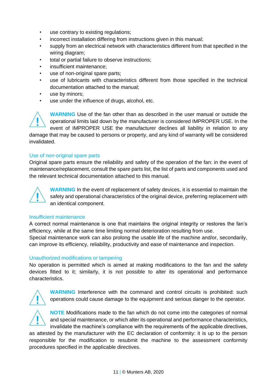- use contrary to existing regulations;
- incorrect installation differing from instructions given in this manual;
- supply from an electrical network with characteristics different from that specified in the wiring diagram;
- total or partial failure to observe instructions:
- insufficient maintenance;
- use of non-original spare parts;
- use of lubricants with characteristics different from those specified in the technical documentation attached to the manual;
- use by minors;
- use under the influence of drugs, alcohol, etc.

**WARNING** Use of the fan other than as described in the user manual or outside the operational limits laid down by the manufacturer is considered IMPROPER USE. In the event of IMPROPER USE the manufacturer declines all liability in relation to any damage that may be caused to persons or property, and any kind of warranty will be considered invalidated.

#### Use of non-original spare parts

Original spare parts ensure the reliability and safety of the operation of the fan: in the event of maintenance/replacement, consult the spare parts list, the list of parts and components used and the relevant technical documentation attached to this manual.



**WARNING** In the event of replacement of safety devices, it is essential to maintain the safety and operational characteristics of the original device, preferring replacement with an identical component.

#### Insufficient maintenance

A correct normal maintenance is one that maintains the original integrity or restores the fan's efficiency, while at the same time limiting normal deterioration resulting from use. Special maintenance work can also prolong the usable life of the machine and/or, secondarily, can improve its efficiency, reliability, productivity and ease of maintenance and inspection.

#### Unauthorized modifications or tampering

No operation is permitted which is aimed at making modifications to the fan and the safety devices fitted to it; similarly, it is not possible to alter its operational and performance characteristics.



**WARNING** Interference with the command and control circuits is prohibited: such operations could cause damage to the equipment and serious danger to the operator.

**NOTE** Modifications made to the fan which do not come into the categories of normal and special maintenance, or which alter its operational and performance characteristics, invalidate the machine's compliance with the requirements of the applicable directives,

as attested by the manufacturer with the EC declaration of conformity: it is up to the person responsible for the modification to resubmit the machine to the assessment conformity procedures specified in the applicable directives.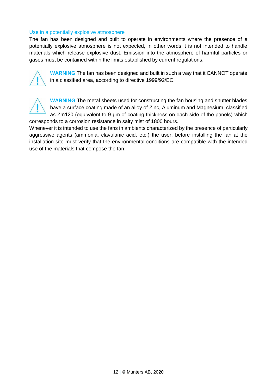#### Use in a potentially explosive atmosphere

The fan has been designed and built to operate in environments where the presence of a potentially explosive atmosphere is not expected, in other words it is not intended to handle materials which release explosive dust. Emission into the atmosphere of harmful particles or gases must be contained within the limits established by current regulations.



**WARNING** The fan has been designed and built in such a way that it CANNOT operate in a classified area, according to directive 1999/92/EC.



**WARNING** The metal sheets used for constructing the fan housing and shutter blades have a surface coating made of an alloy of Zinc, Aluminum and Magnesium, classified as Zm120 (equivalent to 9 μm of coating thickness on each side of the panels) which corresponds to a corrosion resistance in salty mist of 1800 hours.

Whenever it is intended to use the fans in ambients characterized by the presence of particularly aggressive agents (ammonia, clavulanic acid, etc.) the user, before installing the fan at the installation site must verify that the environmental conditions are compatible with the intended use of the materials that compose the fan.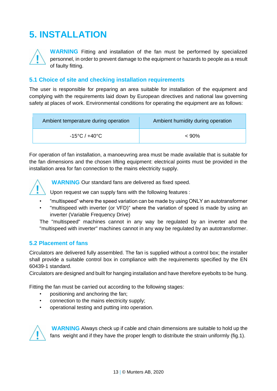# <span id="page-12-0"></span>**5. INSTALLATION**

**WARNING** Fitting and installation of the fan must be performed by specialized personnel, in order to prevent damage to the equipment or hazards to people as a result of faulty fitting.

#### <span id="page-12-1"></span>**5.1 Choice of site and checking installation requirements**

The user is responsible for preparing an area suitable for installation of the equipment and complying with the requirements laid down by European directives and national law governing safety at places of work. Environmental conditions for operating the equipment are as follows:

| Ambient temperature during operation | Ambient humidity during operation |
|--------------------------------------|-----------------------------------|
| -15°C / +40°C $\,$                   | $< 90\%$                          |

For operation of fan installation, a manoeuvring area must be made available that is suitable for the fan dimensions and the chosen lifting equipment: electrical points must be provided in the installation area for fan connection to the mains electricity supply.



**WARNING** Our standard fans are delivered as fixed speed.

Upon request we can supply fans with the following features :

- "multispeed" where the speed variation can be made by using ONLY an autotransformer
- "multispeed with inverter (or VFD)" where the variation of speed is made by using an inverter (Variable Frequency Drive)

The "multispeed" machines cannot in any way be regulated by an inverter and the "multispeed with inverter" machines cannot in any way be regulated by an autotransformer.

#### <span id="page-12-2"></span>**5.2 Placement of fans**

Circulators are delivered fully assembled. The fan is supplied without a control box; the installer shall provide a suitable control box in compliance with the requirements specified by the EN 60439-1 standard.

Circulators are designed and built for hanging installation and have therefore eyebolts to be hung.

Fitting the fan must be carried out according to the following stages:

- positioning and anchoring the fan;
- connection to the mains electricity supply;
- operational testing and putting into operation.



**WARNING** Always check up if cable and chain dimensions are suitable to hold up the fans weight and if they have the proper length to distribute the strain uniformly (fig.1).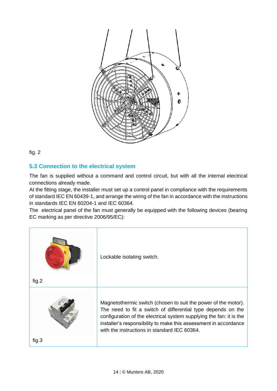

fig. 2

## <span id="page-13-0"></span>**5.3 Connection to the electrical system**

The fan is supplied without a command and control circuit, but with all the internal electrical connections already made.

At the fitting stage, the installer must set up a control panel in compliance with the requirements of standard IEC EN 60439-1, and arrange the wiring of the fan in accordance with the instructions in standards IEC EN 60204-1 and IEC 60364.

The electrical panel of the fan must generally be equipped with the following devices (bearing EC marking as per directive 2006/95/EC):

| fig.2 | Lockable isolating switch.                                                                                                                                                                                                                                                                                                |
|-------|---------------------------------------------------------------------------------------------------------------------------------------------------------------------------------------------------------------------------------------------------------------------------------------------------------------------------|
| fig.3 | Magnetothermic switch (chosen to suit the power of the motor).<br>The need to fit a switch of differential type depends on the<br>configuration of the electrical system supplying the fan: it is the<br>installer's responsibility to make this assessment in accordance<br>with the instructions in standard IEC 60364. |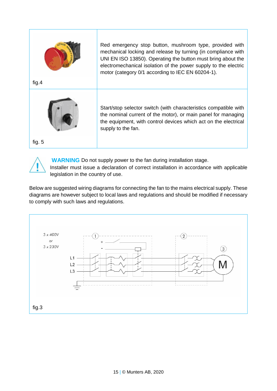



**WARNING** Do not supply power to the fan during installation stage. Installer must issue a declaration of correct installation in accordance with applicable legislation in the country of use.

Below are suggested wiring diagrams for connecting the fan to the mains electrical supply. These diagrams are however subject to local laws and regulations and should be modified if necessary to comply with such laws and regulations.

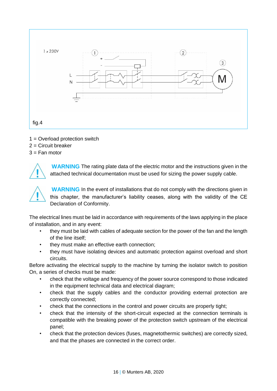

- 1 = Overload protection switch
- $2 =$  Circuit breaker
- $3 =$  Fan motor



**WARNING** The rating plate data of the electric motor and the instructions given in the attached technical documentation must be used for sizing the power supply cable.

**WARNING** In the event of installations that do not comply with the directions given in this chapter, the manufacturer's liability ceases, along with the validity of the CE Declaration of Conformity.

The electrical lines must be laid in accordance with requirements of the laws applying in the place of installation, and in any event:

- they must be laid with cables of adequate section for the power of the fan and the length of the line itself;
- they must make an effective earth connection;
- they must have isolating devices and automatic protection against overload and short circuits.

Before activating the electrical supply to the machine by turning the isolator switch to position On, a series of checks must be made:

- check that the voltage and frequency of the power source correspond to those indicated in the equipment technical data and electrical diagram;
- check that the supply cables and the conductor providing external protection are correctly connected;
- check that the connections in the control and power circuits are properly tight;
- check that the intensity of the short-circuit expected at the connection terminals is compatible with the breaking power of the protection switch upstream of the electrical panel;
- check that the protection devices (fuses, magnetothermic switches) are correctly sized, and that the phases are connected in the correct order.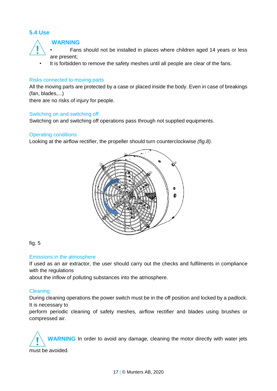### <span id="page-16-0"></span>**5.4 Use**



#### **WARNING**

- Fans should not be installed in places where children aged 14 years or less are present;
- It is forbidden to remove the safety meshes until all people are clear of the fans.

#### Risks connected to moving parts

All the moving parts are protected by a case or placed inside the body. Even in case of breakings (fan, blades,...)

there are no risks of injury for people.

#### Switching on and switching off

Switching on and switching off operations pass through not supplied equipments.

#### Operating conditions

Looking at the airflow rectifier, the propeller should turn counterclockwise *(fig.8)*.



#### fig. 5

#### Emissions in the atmosphere

If used as an air extractor, the user should carry out the checks and fulfilments in compliance with the regulations

about the inflow of polluting substances into the atmosphere.

#### Cleaning

During cleaning operations the power switch must be in the off position and locked by a padlock. It is necessary to

perform periodic cleaning of safety meshes, airflow rectifier and blades using brushes or compressed air.

**WARNING** In order to avoid any damage, cleaning the motor directly with water jets must be avoided.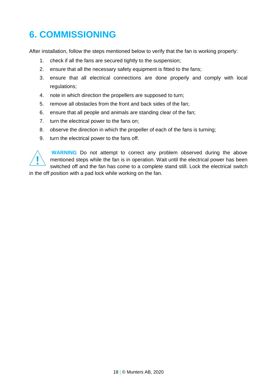# <span id="page-17-0"></span>**6. COMMISSIONING**

After installation, follow the steps mentioned below to verify that the fan is working properly:

- 1. check if all the fans are secured tightly to the suspension;
- 2. ensure that all the necessary safety equipment is fitted to the fans;
- 3. ensure that all electrical connections are done properly and comply with local regulations;
- 4. note in which direction the propellers are supposed to turn;
- 5. remove all obstacles from the front and back sides of the fan;
- 6. ensure that all people and animals are standing clear of the fan;
- 7. turn the electrical power to the fans on;
- 8. observe the direction in which the propeller of each of the fans is turning;
- 9. turn the electrical power to the fans off.



**WARNING** Do not attempt to correct any problem observed during the above mentioned steps while the fan is in operation. Wait until the electrical power has been switched off and the fan has come to a complete stand still. Lock the electrical switch

in the off position with a pad lock while working on the fan.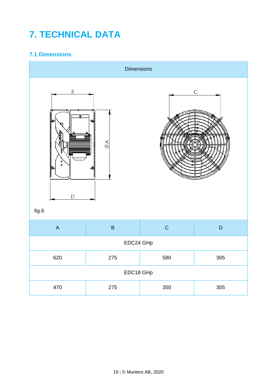# <span id="page-18-0"></span>**7. TECHNICAL DATA**

# <span id="page-18-1"></span>**7.1 Dimensions**

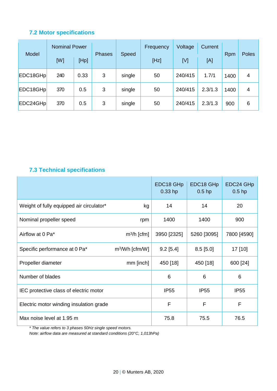# <span id="page-19-0"></span>**7.2 Motor specifications**

| Model    | <b>Nominal Power</b> |      |               |        | Frequency | Voltage | <b>Current</b> |      |              |
|----------|----------------------|------|---------------|--------|-----------|---------|----------------|------|--------------|
|          | [W]                  | [Hp] | <b>Phases</b> | Speed  | [Hz]      | [V]     | [A]            | Rpm  | <b>Poles</b> |
| EDC18GHp | 240                  | 0.33 | 3             | single | 50        | 240/415 | 1.7/1          | 1400 | 4            |
| EDC18GHp | 370                  | 0.5  | 3             | single | 50        | 240/415 | 2.3/1.3        | 1400 | 4            |
| EDC24GHp | 370                  | 0.5  | 3             | single | 50        | 240/415 | 2.3/1.3        | 900  | 6            |

# <span id="page-19-1"></span>**7.3 Technical specifications**

|                                          |                            | EDC18 GHp<br>$0.33$ hp | EDC <sub>18</sub> GH <sub>p</sub><br>$0.5$ hp | EDC24 GHp<br>$0.5$ hp |
|------------------------------------------|----------------------------|------------------------|-----------------------------------------------|-----------------------|
| Weight of fully equipped air circulator* | kg                         | 14                     | 14                                            | 20                    |
| Nominal propeller speed                  | rpm                        | 1400                   | 1400                                          | 900                   |
| Airflow at 0 Pa*                         | $m^3/h$ [cfm]              | 3950 [2325]            | 5260 [3095]                                   | 7800 [4590]           |
| Specific performance at 0 Pa*            | m <sup>3</sup> /Wh [cfm/W] | $9.2$ [5.4]            | $8.5$ [5.0]                                   | 17 [10]               |
| Propeller diameter                       | mm [inch]                  | 450 [18]               | 450 [18]                                      | 600 [24]              |
| Number of blades                         |                            | 6                      | 6                                             | 6                     |
| IEC protective class of electric motor   |                            | <b>IP55</b>            | IP <sub>55</sub>                              | IP <sub>55</sub>      |
| Electric motor winding insulation grade  |                            | F                      | F                                             | F                     |
| Max noise level at 1.95 m                |                            | 75.8                   | 75.5                                          | 76.5                  |

*\* The value refers to 3 phases 50Hz single speed motors.*

*Note: airflow data are measured at standard conditions (20°C, 1,013hPa)*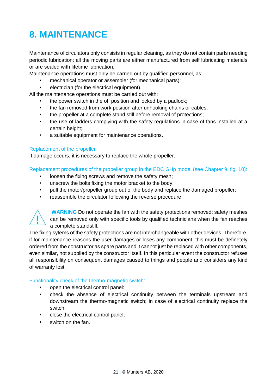# <span id="page-20-0"></span>**8. MAINTENANCE**

Maintenance of circulators only consists in regular cleaning, as they do not contain parts needing periodic lubrication: all the moving parts are either manufactured from self lubricating materials or are sealed with lifetime lubrication.

Maintenance operations must only be carried out by qualified personnel, as:

- mechanical operator or assembler (for mechanical parts);
- electrician (for the electrical equipment).

All the maintenance operations must be carried out with:

- the power switch in the off position and locked by a padlock;
- the fan removed from work position after unhooking chains or cables;
- the propeller at a complete stand still before removal of protections;
- the use of ladders complying with the safety regulations in case of fans installed at a certain height;
- a suitable equipment for maintenance operations.

#### Replacement of the propeller

If damage occurs, it is necessary to replace the whole propeller.

Replacement procedures of the propeller group in the EDC GHp model (see Chapter 9, fig. 10):

- loosen the fixing screws and remove the safety mesh;
- unscrew the bolts fixing the motor bracket to the body;
- pull the motor/propeller group out of the body and replace the damaged propeller;
- reassemble the circulator following the reverse procedure.



**WARNING** Do not operate the fan with the safety protections removed: safety meshes can be removed only with specific tools by qualified technicians when the fan reaches a complete standstill.

The fixing sytems of the safety protections are not interchangeable with other devices. Therefore, if for maintenance reasons the user damages or loses any component, this must be definetely ordered from the constructor as spare parts and it cannot just be replaced with other components, even similar, not supplied by the constructor itself. In this particular event the constructor refuses all responsibility on consequent damages caused to things and people and considers any kind of warranty lost.

#### Functionality check of the thermo-magnetic switch:

- open the electrical control panel:
- check the absence of electrical continuity between the terminals upstream and downstream the thermo-magnetic switch; in case of electrical continuity replace the switch;
- close the electrical control panel;
- switch on the fan.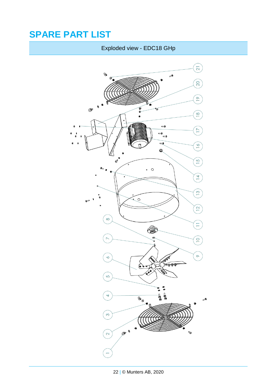# <span id="page-21-1"></span><span id="page-21-0"></span>**SPARE PART LIST**

# Exploded view - EDC18 GHp

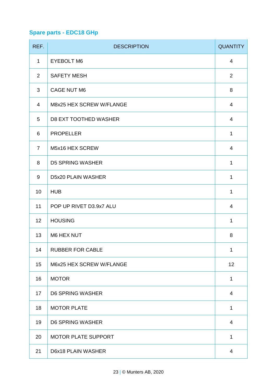# <span id="page-22-0"></span>**Spare parts - EDC18 GHp**

| REF.           | <b>DESCRIPTION</b>         | <b>QUANTITY</b> |
|----------------|----------------------------|-----------------|
| $\mathbf{1}$   | <b>EYEBOLT M6</b>          | 4               |
| $\overline{2}$ | <b>SAFETY MESH</b>         | $\overline{a}$  |
| 3              | CAGE NUT M6                | 8               |
| 4              | M8x25 HEX SCREW W/FLANGE   | 4               |
| 5              | D8 EXT TOOTHED WASHER      | 4               |
| 6              | <b>PROPELLER</b>           | $\mathbf{1}$    |
| 7              | M5x16 HEX SCREW            | 4               |
| 8              | D5 SPRING WASHER           | $\mathbf{1}$    |
| 9              | D5x20 PLAIN WASHER         | $\mathbf{1}$    |
| 10             | <b>HUB</b>                 | $\mathbf{1}$    |
| 11             | POP UP RIVET D3.9x7 ALU    | 4               |
| 12             | <b>HOUSING</b>             | $\mathbf{1}$    |
| 13             | M6 HEX NUT                 | 8               |
| 14             | <b>RUBBER FOR CABLE</b>    | $\mathbf{1}$    |
| 15             | M6x25 HEX SCREW W/FLANGE   | 12              |
| 16             | <b>MOTOR</b>               | $\mathbf{1}$    |
| 17             | D6 SPRING WASHER           | 4               |
| 18             | <b>MOTOR PLATE</b>         | $\mathbf{1}$    |
| 19             | D6 SPRING WASHER           | $\overline{4}$  |
| 20             | <b>MOTOR PLATE SUPPORT</b> | $\mathbf{1}$    |
| 21             | D6x18 PLAIN WASHER         | 4               |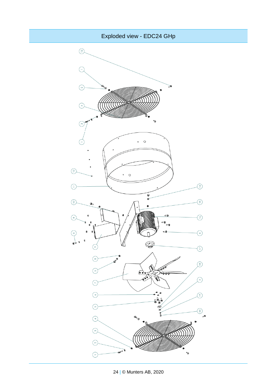<span id="page-23-0"></span>

24 | © Munters AB, 2020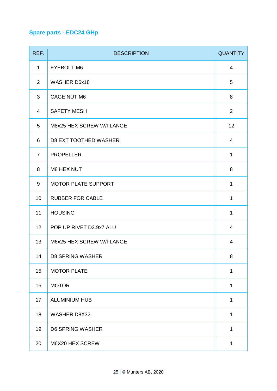# <span id="page-24-0"></span>**Spare parts - EDC24 GHp**

| REF.           | <b>DESCRIPTION</b>         | <b>QUANTITY</b> |
|----------------|----------------------------|-----------------|
| 1              | EYEBOLT M6                 | 4               |
| $\overline{2}$ | WASHER D6x18               | 5               |
| 3              | CAGE NUT M6                | 8               |
| $\overline{4}$ | <b>SAFETY MESH</b>         | $\overline{a}$  |
| 5              | M8x25 HEX SCREW W/FLANGE   | 12              |
| 6              | D8 EXT TOOTHED WASHER      | 4               |
| 7              | <b>PROPELLER</b>           | $\mathbf{1}$    |
| 8              | M8 HEX NUT                 | 8               |
| 9              | <b>MOTOR PLATE SUPPORT</b> | $\mathbf{1}$    |
| 10             | <b>RUBBER FOR CABLE</b>    | $\mathbf{1}$    |
| 11             | <b>HOUSING</b>             | $\mathbf{1}$    |
| 12             | POP UP RIVET D3.9x7 ALU    | 4               |
| 13             | M6x25 HEX SCREW W/FLANGE   | 4               |
| 14             | <b>D8 SPRING WASHER</b>    | 8               |
| 15             | <b>MOTOR PLATE</b>         | $\mathbf{1}$    |
| 16             | <b>MOTOR</b>               | 1               |
| 17             | ALUMINIUM HUB              | 1               |
| 18             | WASHER D8X32               | $\mathbf{1}$    |
| 19             | D6 SPRING WASHER           | $\mathbf{1}$    |
| 20             | M6X20 HEX SCREW            | 1               |